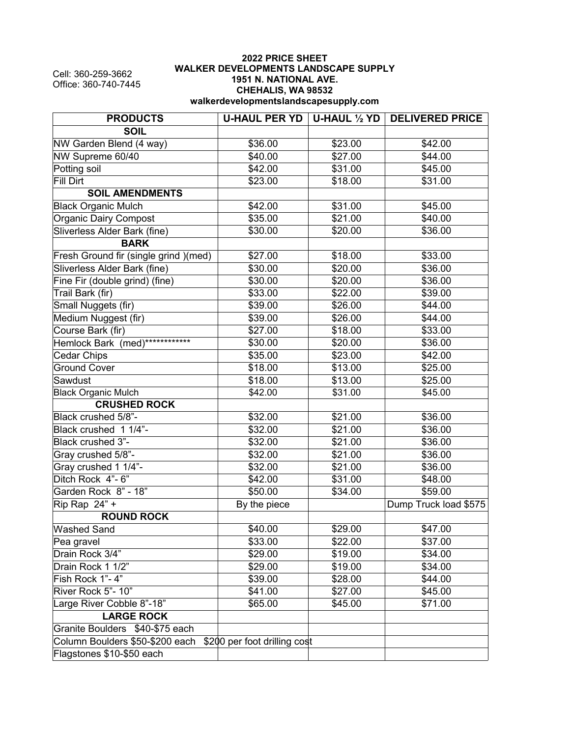Cell: 360-259-3662 Office: 360-740-7445

## **2022 PRICE SHEET WALKER DEVELOPMENTS LANDSCAPE SUPPLY 1951 N. NATIONAL AVE. CHEHALIS, WA 98532 walkerdevelopmentslandscapesupply.com**

| <b>PRODUCTS</b>                       |                              |         | U-HAUL PER YD   U-HAUL 1/2 YD   DELIVERED PRICE |
|---------------------------------------|------------------------------|---------|-------------------------------------------------|
| <b>SOIL</b>                           |                              |         |                                                 |
| NW Garden Blend (4 way)               | \$36.00                      | \$23.00 | \$42.00                                         |
| NW Supreme 60/40                      | \$40.00                      | \$27.00 | \$44.00                                         |
| Potting soil                          | \$42.00                      | \$31.00 | \$45.00                                         |
| Fill Dirt                             | \$23.00                      | \$18.00 | \$31.00                                         |
| <b>SOIL AMENDMENTS</b>                |                              |         |                                                 |
| <b>Black Organic Mulch</b>            | \$42.00                      | \$31.00 | \$45.00                                         |
| <b>Organic Dairy Compost</b>          | \$35.00                      | \$21.00 | \$40.00                                         |
| Sliverless Alder Bark (fine)          | \$30.00                      | \$20.00 | \$36.00                                         |
| <b>BARK</b>                           |                              |         |                                                 |
| Fresh Ground fir (single grind )(med) | \$27.00                      | \$18.00 | \$33.00                                         |
| Sliverless Alder Bark (fine)          | \$30.00                      | \$20.00 | \$36.00                                         |
| Fine Fir (double grind) (fine)        | \$30.00                      | \$20.00 | \$36.00                                         |
| Trail Bark (fir)                      | \$33.00                      | \$22.00 | \$39.00                                         |
| Small Nuggets (fir)                   | \$39.00                      | \$26.00 | \$44.00                                         |
| Medium Nuggest (fir)                  | \$39.00                      | \$26.00 | \$44.00                                         |
| Course Bark (fir)                     | \$27.00                      | \$18.00 | \$33.00                                         |
| Hemlock Bark (med)************        | \$30.00                      | \$20.00 | \$36.00                                         |
| Cedar Chips                           | \$35.00                      | \$23.00 | \$42.00                                         |
| <b>Ground Cover</b>                   | \$18.00                      | \$13.00 | \$25.00                                         |
| Sawdust                               | \$18.00                      | \$13.00 | \$25.00                                         |
| <b>Black Organic Mulch</b>            | \$42.00                      | \$31.00 | \$45.00                                         |
| <b>CRUSHED ROCK</b>                   |                              |         |                                                 |
| Black crushed 5/8"-                   | \$32.00                      | \$21.00 | \$36.00                                         |
| Black crushed 1 1/4"-                 | \$32.00                      | \$21.00 | \$36.00                                         |
| Black crushed 3"-                     | \$32.00                      | \$21.00 | \$36.00                                         |
| Gray crushed 5/8"-                    | \$32.00                      | \$21.00 | \$36.00                                         |
| Gray crushed 1 1/4"-                  | \$32.00                      | \$21.00 | \$36.00                                         |
| Ditch Rock 4"-6"                      | \$42.00                      | \$31.00 | \$48.00                                         |
| Garden Rock 8" - 18"                  | \$50.00                      | \$34.00 | \$59.00                                         |
| Rip Rap 24" +                         | By the piece                 |         | Dump Truck load \$575                           |
| <b>ROUND ROCK</b>                     |                              |         |                                                 |
| <b>Washed Sand</b>                    | \$40.00                      | \$29.00 | \$47.00                                         |
| Pea gravel                            | \$33.00                      | \$22.00 | \$37.00                                         |
| Drain Rock 3/4"                       | \$29.00                      | \$19.00 | \$34.00                                         |
| Drain Rock 1 1/2"                     | \$29.00                      | \$19.00 | \$34.00                                         |
| Fish Rock 1"-4"                       | \$39.00                      | \$28.00 | \$44.00                                         |
| River Rock 5"- 10"                    | \$41.00                      | \$27.00 | \$45.00                                         |
| Large River Cobble 8"-18"             | \$65.00                      | \$45.00 | \$71.00                                         |
| <b>LARGE ROCK</b>                     |                              |         |                                                 |
| Granite Boulders \$40-\$75 each       |                              |         |                                                 |
| Column Boulders \$50-\$200 each       | \$200 per foot drilling cost |         |                                                 |
| Flagstones \$10-\$50 each             |                              |         |                                                 |